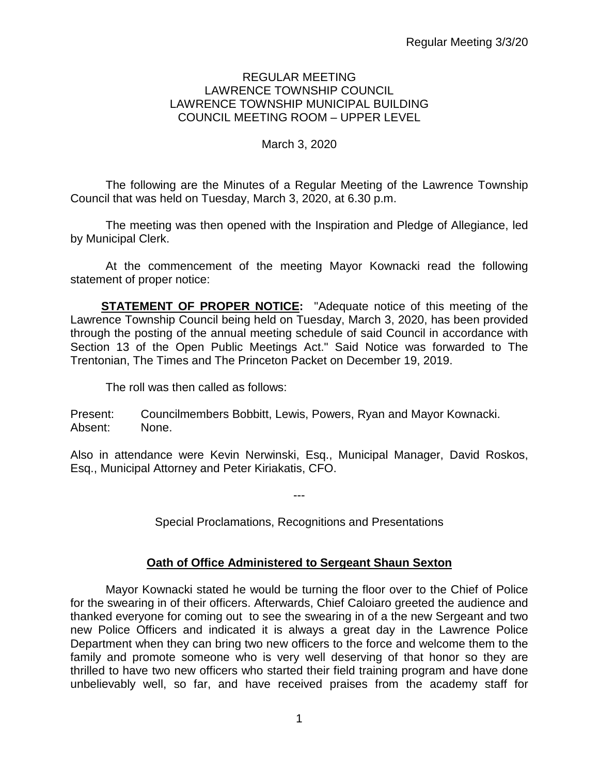### REGULAR MEETING LAWRENCE TOWNSHIP COUNCIL LAWRENCE TOWNSHIP MUNICIPAL BUILDING COUNCIL MEETING ROOM – UPPER LEVEL

## March 3, 2020

The following are the Minutes of a Regular Meeting of the Lawrence Township Council that was held on Tuesday, March 3, 2020, at 6.30 p.m.

The meeting was then opened with the Inspiration and Pledge of Allegiance, led by Municipal Clerk.

At the commencement of the meeting Mayor Kownacki read the following statement of proper notice:

**STATEMENT OF PROPER NOTICE:** "Adequate notice of this meeting of the Lawrence Township Council being held on Tuesday, March 3, 2020, has been provided through the posting of the annual meeting schedule of said Council in accordance with Section 13 of the Open Public Meetings Act." Said Notice was forwarded to The Trentonian, The Times and The Princeton Packet on December 19, 2019.

The roll was then called as follows:

Present: Councilmembers Bobbitt, Lewis, Powers, Ryan and Mayor Kownacki. Absent: None.

Also in attendance were Kevin Nerwinski, Esq., Municipal Manager, David Roskos, Esq., Municipal Attorney and Peter Kiriakatis, CFO.

Special Proclamations, Recognitions and Presentations

---

## **Oath of Office Administered to Sergeant Shaun Sexton**

Mayor Kownacki stated he would be turning the floor over to the Chief of Police for the swearing in of their officers. Afterwards, Chief Caloiaro greeted the audience and thanked everyone for coming out to see the swearing in of a the new Sergeant and two new Police Officers and indicated it is always a great day in the Lawrence Police Department when they can bring two new officers to the force and welcome them to the family and promote someone who is very well deserving of that honor so they are thrilled to have two new officers who started their field training program and have done unbelievably well, so far, and have received praises from the academy staff for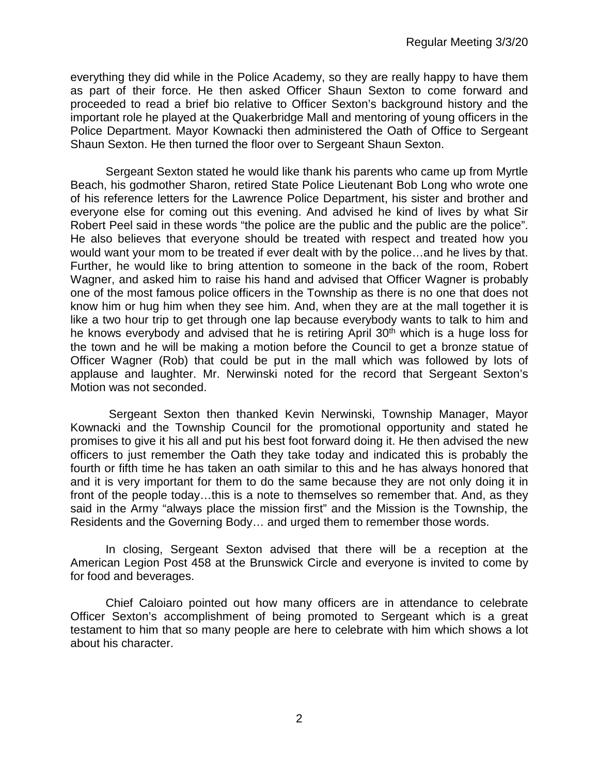everything they did while in the Police Academy, so they are really happy to have them as part of their force. He then asked Officer Shaun Sexton to come forward and proceeded to read a brief bio relative to Officer Sexton's background history and the important role he played at the Quakerbridge Mall and mentoring of young officers in the Police Department. Mayor Kownacki then administered the Oath of Office to Sergeant Shaun Sexton. He then turned the floor over to Sergeant Shaun Sexton.

Sergeant Sexton stated he would like thank his parents who came up from Myrtle Beach, his godmother Sharon, retired State Police Lieutenant Bob Long who wrote one of his reference letters for the Lawrence Police Department, his sister and brother and everyone else for coming out this evening. And advised he kind of lives by what Sir Robert Peel said in these words "the police are the public and the public are the police". He also believes that everyone should be treated with respect and treated how you would want your mom to be treated if ever dealt with by the police…and he lives by that. Further, he would like to bring attention to someone in the back of the room, Robert Wagner, and asked him to raise his hand and advised that Officer Wagner is probably one of the most famous police officers in the Township as there is no one that does not know him or hug him when they see him. And, when they are at the mall together it is like a two hour trip to get through one lap because everybody wants to talk to him and he knows everybody and advised that he is retiring April 30<sup>th</sup> which is a huge loss for the town and he will be making a motion before the Council to get a bronze statue of Officer Wagner (Rob) that could be put in the mall which was followed by lots of applause and laughter. Mr. Nerwinski noted for the record that Sergeant Sexton's Motion was not seconded.

Sergeant Sexton then thanked Kevin Nerwinski, Township Manager, Mayor Kownacki and the Township Council for the promotional opportunity and stated he promises to give it his all and put his best foot forward doing it. He then advised the new officers to just remember the Oath they take today and indicated this is probably the fourth or fifth time he has taken an oath similar to this and he has always honored that and it is very important for them to do the same because they are not only doing it in front of the people today…this is a note to themselves so remember that. And, as they said in the Army "always place the mission first" and the Mission is the Township, the Residents and the Governing Body… and urged them to remember those words.

In closing, Sergeant Sexton advised that there will be a reception at the American Legion Post 458 at the Brunswick Circle and everyone is invited to come by for food and beverages.

Chief Caloiaro pointed out how many officers are in attendance to celebrate Officer Sexton's accomplishment of being promoted to Sergeant which is a great testament to him that so many people are here to celebrate with him which shows a lot about his character.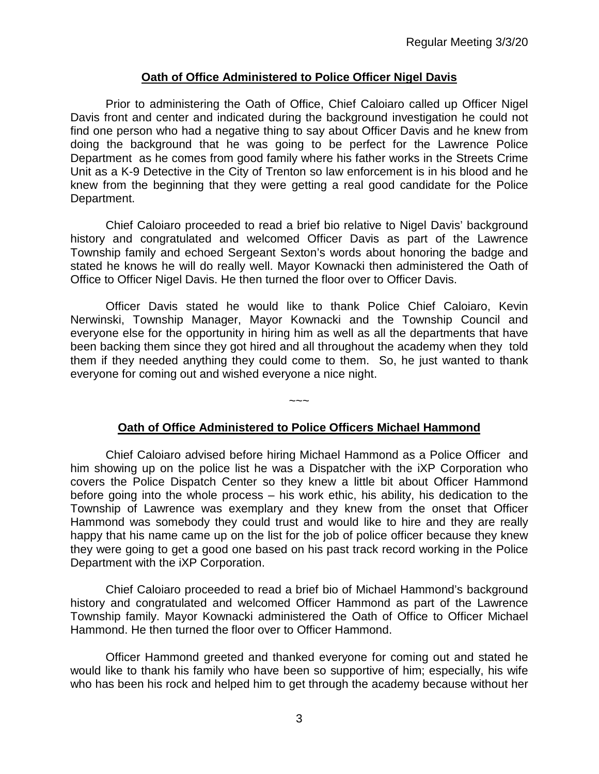### **Oath of Office Administered to Police Officer Nigel Davis**

Prior to administering the Oath of Office, Chief Caloiaro called up Officer Nigel Davis front and center and indicated during the background investigation he could not find one person who had a negative thing to say about Officer Davis and he knew from doing the background that he was going to be perfect for the Lawrence Police Department as he comes from good family where his father works in the Streets Crime Unit as a K-9 Detective in the City of Trenton so law enforcement is in his blood and he knew from the beginning that they were getting a real good candidate for the Police Department.

Chief Caloiaro proceeded to read a brief bio relative to Nigel Davis' background history and congratulated and welcomed Officer Davis as part of the Lawrence Township family and echoed Sergeant Sexton's words about honoring the badge and stated he knows he will do really well. Mayor Kownacki then administered the Oath of Office to Officer Nigel Davis. He then turned the floor over to Officer Davis.

Officer Davis stated he would like to thank Police Chief Caloiaro, Kevin Nerwinski, Township Manager, Mayor Kownacki and the Township Council and everyone else for the opportunity in hiring him as well as all the departments that have been backing them since they got hired and all throughout the academy when they told them if they needed anything they could come to them. So, he just wanted to thank everyone for coming out and wished everyone a nice night.

## **Oath of Office Administered to Police Officers Michael Hammond**

~~~

Chief Caloiaro advised before hiring Michael Hammond as a Police Officer and him showing up on the police list he was a Dispatcher with the iXP Corporation who covers the Police Dispatch Center so they knew a little bit about Officer Hammond before going into the whole process – his work ethic, his ability, his dedication to the Township of Lawrence was exemplary and they knew from the onset that Officer Hammond was somebody they could trust and would like to hire and they are really happy that his name came up on the list for the job of police officer because they knew they were going to get a good one based on his past track record working in the Police Department with the iXP Corporation.

Chief Caloiaro proceeded to read a brief bio of Michael Hammond's background history and congratulated and welcomed Officer Hammond as part of the Lawrence Township family. Mayor Kownacki administered the Oath of Office to Officer Michael Hammond. He then turned the floor over to Officer Hammond.

Officer Hammond greeted and thanked everyone for coming out and stated he would like to thank his family who have been so supportive of him; especially, his wife who has been his rock and helped him to get through the academy because without her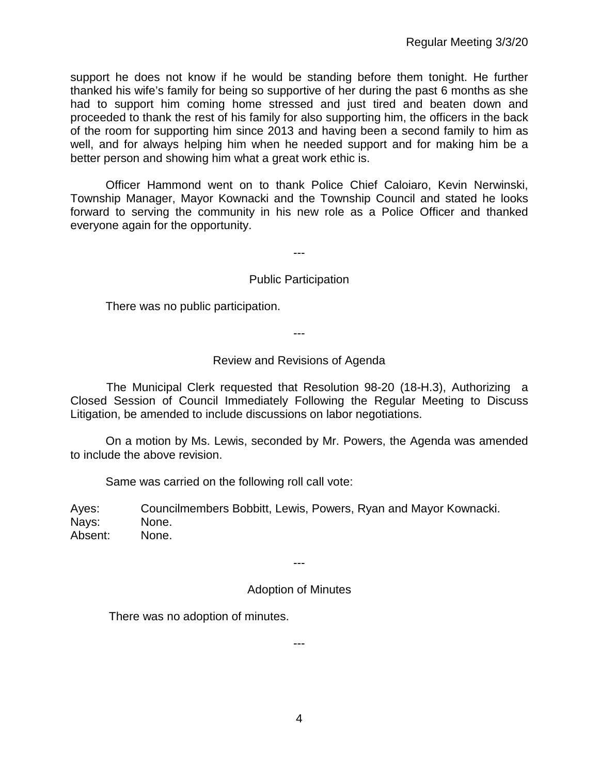support he does not know if he would be standing before them tonight. He further thanked his wife's family for being so supportive of her during the past 6 months as she had to support him coming home stressed and just tired and beaten down and proceeded to thank the rest of his family for also supporting him, the officers in the back of the room for supporting him since 2013 and having been a second family to him as well, and for always helping him when he needed support and for making him be a better person and showing him what a great work ethic is.

Officer Hammond went on to thank Police Chief Caloiaro, Kevin Nerwinski, Township Manager, Mayor Kownacki and the Township Council and stated he looks forward to serving the community in his new role as a Police Officer and thanked everyone again for the opportunity.

---

### Public Participation

There was no public participation.

---

### Review and Revisions of Agenda

 The Municipal Clerk requested that Resolution 98-20 (18-H.3), Authorizing a Closed Session of Council Immediately Following the Regular Meeting to Discuss Litigation, be amended to include discussions on labor negotiations.

On a motion by Ms. Lewis, seconded by Mr. Powers, the Agenda was amended to include the above revision.

Same was carried on the following roll call vote:

Ayes: Councilmembers Bobbitt, Lewis, Powers, Ryan and Mayor Kownacki. Nays: None. Absent: None.

---

## Adoption of Minutes

---

There was no adoption of minutes.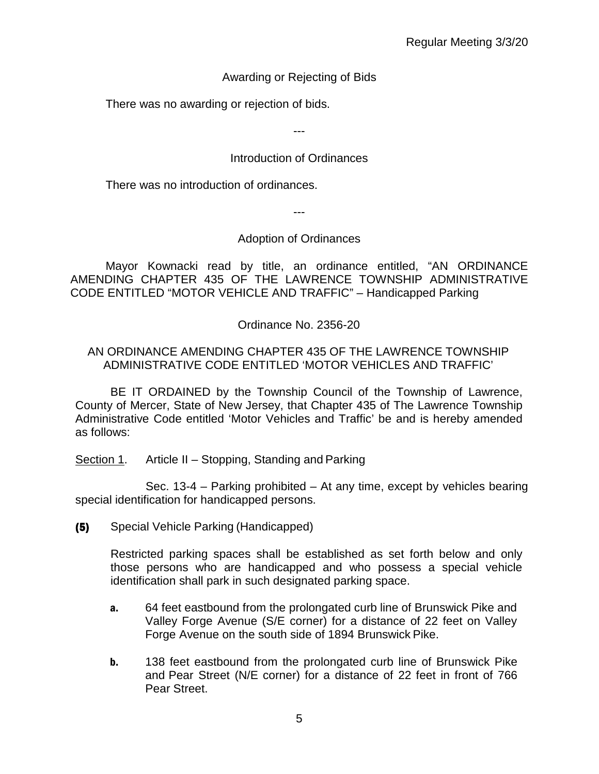# Awarding or Rejecting of Bids

There was no awarding or rejection of bids.

---

# Introduction of Ordinances

There was no introduction of ordinances.

---

## Adoption of Ordinances

Mayor Kownacki read by title, an ordinance entitled, "AN ORDINANCE AMENDING CHAPTER 435 OF THE LAWRENCE TOWNSHIP ADMINISTRATIVE CODE ENTITLED "MOTOR VEHICLE AND TRAFFIC" – Handicapped Parking

Ordinance No. 2356-20

## AN ORDINANCE AMENDING CHAPTER 435 OF THE LAWRENCE TOWNSHIP ADMINISTRATIVE CODE ENTITLED 'MOTOR VEHICLES AND TRAFFIC'

BE IT ORDAINED by the Township Council of the Township of Lawrence, County of Mercer, State of New Jersey, that Chapter 435 of The Lawrence Township Administrative Code entitled 'Motor Vehicles and Traffic' be and is hereby amended as follows:

Section 1. Article II – Stopping, Standing and Parking

Sec. 13-4 – Parking prohibited – At any time, except by vehicles bearing special identification for handicapped persons.

(5) Special Vehicle Parking (Handicapped)

Restricted parking spaces shall be established as set forth below and only those persons who are handicapped and who possess a special vehicle identification shall park in such designated parking space.

- a. 64 feet eastbound from the prolongated curb line of Brunswick Pike and Valley Forge Avenue (S/E corner) for a distance of 22 feet on Valley Forge Avenue on the south side of 1894 Brunswick Pike.
- **b.** 138 feet eastbound from the prolongated curb line of Brunswick Pike and Pear Street (N/E corner) for a distance of 22 feet in front of 766 Pear Street.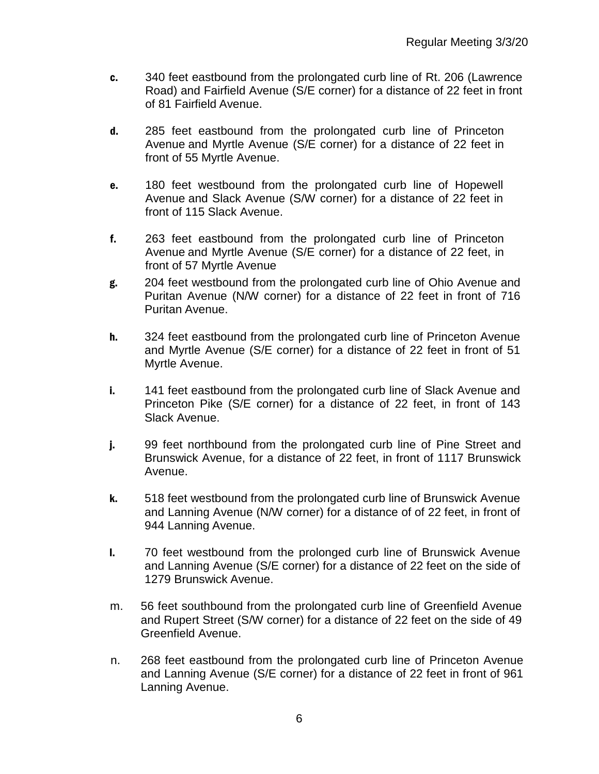- c. 340 feet eastbound from the prolongated curb line of Rt. 206 (Lawrence Road) and Fairfield Avenue (S/E corner) for a distance of 22 feet in front of 81 Fairfield Avenue.
- d. 285 feet eastbound from the prolongated curb line of Princeton Avenue and Myrtle Avenue (S/E corner) for a distance of 22 feet in front of 55 Myrtle Avenue.
- e. 180 feet westbound from the prolongated curb line of Hopewell Avenue and Slack Avenue (S/W corner) for a distance of 22 feet in front of 115 Slack Avenue.
- f. 263 feet eastbound from the prolongated curb line of Princeton Avenue and Myrtle Avenue (S/E corner) for a distance of 22 feet, in front of 57 Myrtle Avenue
- g. 204 feet westbound from the prolongated curb line of Ohio Avenue and Puritan Avenue (N/W corner) for a distance of 22 feet in front of 716 Puritan Avenue.
- h. 324 feet eastbound from the prolongated curb line of Princeton Avenue and Myrtle Avenue (S/E corner) for a distance of 22 feet in front of 51 Myrtle Avenue.
- i. 141 feet eastbound from the prolongated curb line of Slack Avenue and Princeton Pike (S/E corner) for a distance of 22 feet, in front of 143 Slack Avenue.
- j. 99 feet northbound from the prolongated curb line of Pine Street and Brunswick Avenue, for a distance of 22 feet, in front of 1117 Brunswick Avenue.
- k. 518 feet westbound from the prolongated curb line of Brunswick Avenue and Lanning Avenue (N/W corner) for a distance of of 22 feet, in front of 944 Lanning Avenue.
- l. 70 feet westbound from the prolonged curb line of Brunswick Avenue and Lanning Avenue (S/E corner) for a distance of 22 feet on the side of 1279 Brunswick Avenue.
- m. 56 feet southbound from the prolongated curb line of Greenfield Avenue and Rupert Street (S/W corner) for a distance of 22 feet on the side of 49 Greenfield Avenue.
- n. 268 feet eastbound from the prolongated curb line of Princeton Avenue and Lanning Avenue (S/E corner) for a distance of 22 feet in front of 961 Lanning Avenue.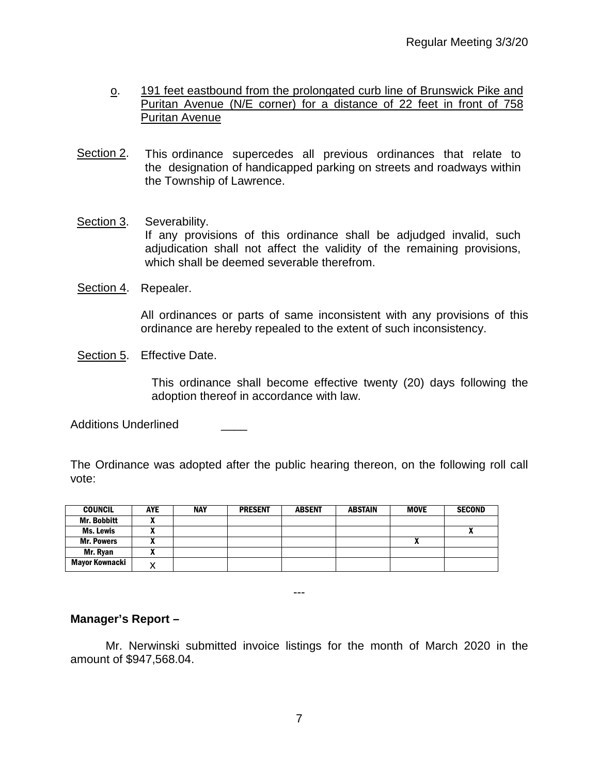- o. 191 feet eastbound from the prolongated curb line of Brunswick Pike and Puritan Avenue (N/E corner) for a distance of 22 feet in front of 758 Puritan Avenue
- Section 2. This ordinance supercedes all previous ordinances that relate to the designation of handicapped parking on streets and roadways within the Township of Lawrence.
- Section 3. Severability. If any provisions of this ordinance shall be adjudged invalid, such adjudication shall not affect the validity of the remaining provisions, which shall be deemed severable therefrom.
- Section 4. Repealer.

All ordinances or parts of same inconsistent with any provisions of this ordinance are hereby repealed to the extent of such inconsistency.

Section 5. Effective Date.

This ordinance shall become effective twenty (20) days following the adoption thereof in accordance with law.

Additions Underlined

The Ordinance was adopted after the public hearing thereon, on the following roll call vote:

| <b>COUNCIL</b>     | <b>AYE</b> | <b>NAY</b> | <b>PRESENT</b> | <b>ABSENT</b> | <b>ABSTAIN</b> | <b>MOVE</b> | <b>SECOND</b> |
|--------------------|------------|------------|----------------|---------------|----------------|-------------|---------------|
| <b>Mr. Bobbitt</b> |            |            |                |               |                |             |               |
| Ms. Lewis          |            |            |                |               |                |             |               |
| <b>Mr. Powers</b>  |            |            |                |               |                | n           |               |
| Mr. Ryan           |            |            |                |               |                |             |               |
| Mayor Kownacki     |            |            |                |               |                |             |               |

---

## **Manager's Report –**

Mr. Nerwinski submitted invoice listings for the month of March 2020 in the amount of \$947,568.04.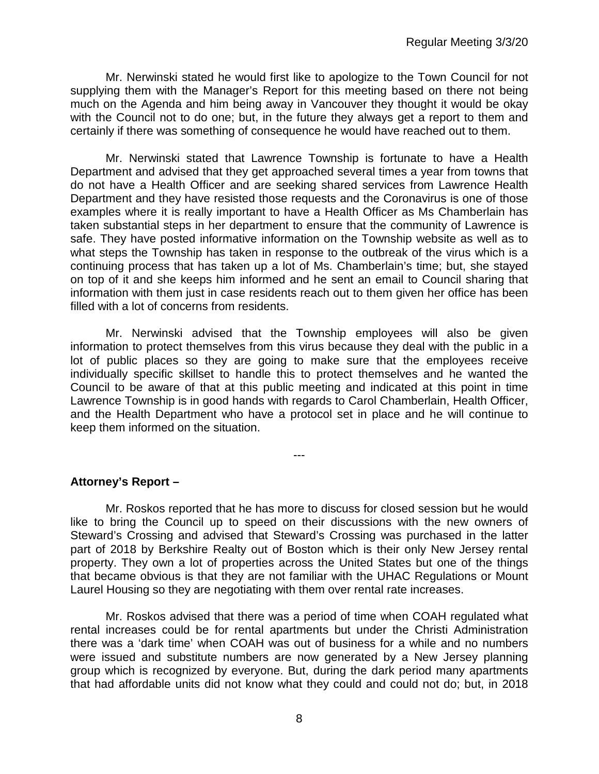Mr. Nerwinski stated he would first like to apologize to the Town Council for not supplying them with the Manager's Report for this meeting based on there not being much on the Agenda and him being away in Vancouver they thought it would be okay with the Council not to do one; but, in the future they always get a report to them and certainly if there was something of consequence he would have reached out to them.

Mr. Nerwinski stated that Lawrence Township is fortunate to have a Health Department and advised that they get approached several times a year from towns that do not have a Health Officer and are seeking shared services from Lawrence Health Department and they have resisted those requests and the Coronavirus is one of those examples where it is really important to have a Health Officer as Ms Chamberlain has taken substantial steps in her department to ensure that the community of Lawrence is safe. They have posted informative information on the Township website as well as to what steps the Township has taken in response to the outbreak of the virus which is a continuing process that has taken up a lot of Ms. Chamberlain's time; but, she stayed on top of it and she keeps him informed and he sent an email to Council sharing that information with them just in case residents reach out to them given her office has been filled with a lot of concerns from residents.

Mr. Nerwinski advised that the Township employees will also be given information to protect themselves from this virus because they deal with the public in a lot of public places so they are going to make sure that the employees receive individually specific skillset to handle this to protect themselves and he wanted the Council to be aware of that at this public meeting and indicated at this point in time Lawrence Township is in good hands with regards to Carol Chamberlain, Health Officer, and the Health Department who have a protocol set in place and he will continue to keep them informed on the situation.

---

**Attorney's Report –**

Mr. Roskos reported that he has more to discuss for closed session but he would like to bring the Council up to speed on their discussions with the new owners of Steward's Crossing and advised that Steward's Crossing was purchased in the latter part of 2018 by Berkshire Realty out of Boston which is their only New Jersey rental property. They own a lot of properties across the United States but one of the things that became obvious is that they are not familiar with the UHAC Regulations or Mount Laurel Housing so they are negotiating with them over rental rate increases.

Mr. Roskos advised that there was a period of time when COAH regulated what rental increases could be for rental apartments but under the Christi Administration there was a 'dark time' when COAH was out of business for a while and no numbers were issued and substitute numbers are now generated by a New Jersey planning group which is recognized by everyone. But, during the dark period many apartments that had affordable units did not know what they could and could not do; but, in 2018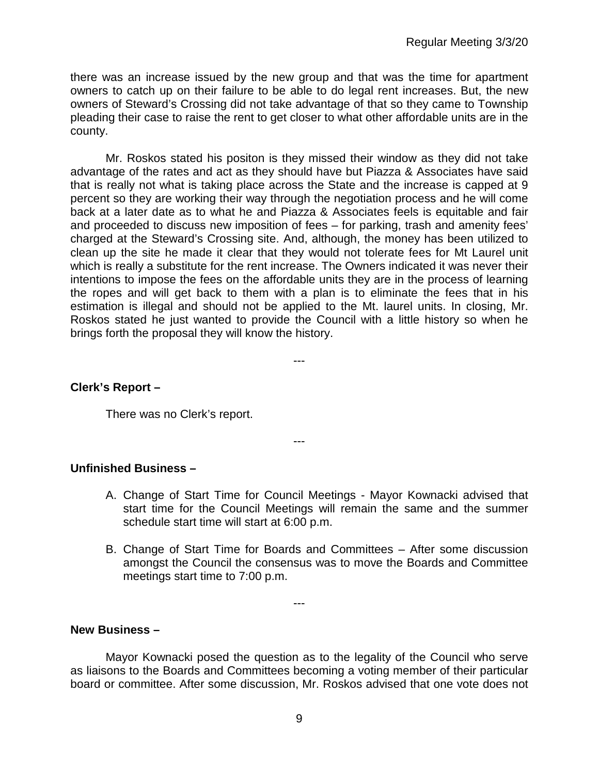there was an increase issued by the new group and that was the time for apartment owners to catch up on their failure to be able to do legal rent increases. But, the new owners of Steward's Crossing did not take advantage of that so they came to Township pleading their case to raise the rent to get closer to what other affordable units are in the county.

Mr. Roskos stated his positon is they missed their window as they did not take advantage of the rates and act as they should have but Piazza & Associates have said that is really not what is taking place across the State and the increase is capped at 9 percent so they are working their way through the negotiation process and he will come back at a later date as to what he and Piazza & Associates feels is equitable and fair and proceeded to discuss new imposition of fees – for parking, trash and amenity fees' charged at the Steward's Crossing site. And, although, the money has been utilized to clean up the site he made it clear that they would not tolerate fees for Mt Laurel unit which is really a substitute for the rent increase. The Owners indicated it was never their intentions to impose the fees on the affordable units they are in the process of learning the ropes and will get back to them with a plan is to eliminate the fees that in his estimation is illegal and should not be applied to the Mt. laurel units. In closing, Mr. Roskos stated he just wanted to provide the Council with a little history so when he brings forth the proposal they will know the history.

---

---

## **Clerk's Report –**

There was no Clerk's report.

**Unfinished Business –**

- A. Change of Start Time for Council Meetings Mayor Kownacki advised that start time for the Council Meetings will remain the same and the summer schedule start time will start at 6:00 p.m.
- B. Change of Start Time for Boards and Committees After some discussion amongst the Council the consensus was to move the Boards and Committee meetings start time to 7:00 p.m.

**New Business –** 

Mayor Kownacki posed the question as to the legality of the Council who serve as liaisons to the Boards and Committees becoming a voting member of their particular board or committee. After some discussion, Mr. Roskos advised that one vote does not

---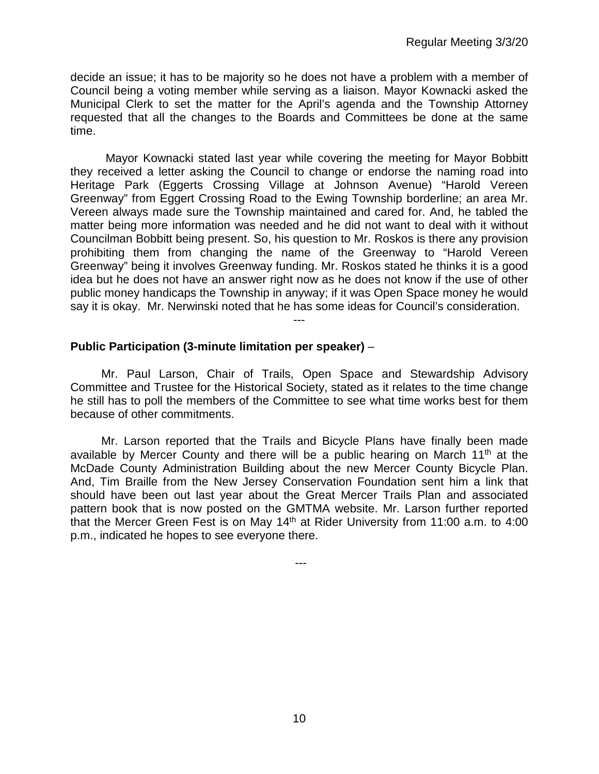decide an issue; it has to be majority so he does not have a problem with a member of Council being a voting member while serving as a liaison. Mayor Kownacki asked the Municipal Clerk to set the matter for the April's agenda and the Township Attorney requested that all the changes to the Boards and Committees be done at the same time.

Mayor Kownacki stated last year while covering the meeting for Mayor Bobbitt they received a letter asking the Council to change or endorse the naming road into Heritage Park (Eggerts Crossing Village at Johnson Avenue) "Harold Vereen Greenway" from Eggert Crossing Road to the Ewing Township borderline; an area Mr. Vereen always made sure the Township maintained and cared for. And, he tabled the matter being more information was needed and he did not want to deal with it without Councilman Bobbitt being present. So, his question to Mr. Roskos is there any provision prohibiting them from changing the name of the Greenway to "Harold Vereen Greenway" being it involves Greenway funding. Mr. Roskos stated he thinks it is a good idea but he does not have an answer right now as he does not know if the use of other public money handicaps the Township in anyway; if it was Open Space money he would say it is okay. Mr. Nerwinski noted that he has some ideas for Council's consideration.

### **Public Participation (3-minute limitation per speaker)** –

Mr. Paul Larson, Chair of Trails, Open Space and Stewardship Advisory Committee and Trustee for the Historical Society, stated as it relates to the time change he still has to poll the members of the Committee to see what time works best for them because of other commitments.

---

Mr. Larson reported that the Trails and Bicycle Plans have finally been made available by Mercer County and there will be a public hearing on March 11<sup>th</sup> at the McDade County Administration Building about the new Mercer County Bicycle Plan. And, Tim Braille from the New Jersey Conservation Foundation sent him a link that should have been out last year about the Great Mercer Trails Plan and associated pattern book that is now posted on the GMTMA website. Mr. Larson further reported that the Mercer Green Fest is on May  $14<sup>th</sup>$  at Rider University from 11:00 a.m. to 4:00 p.m., indicated he hopes to see everyone there.

---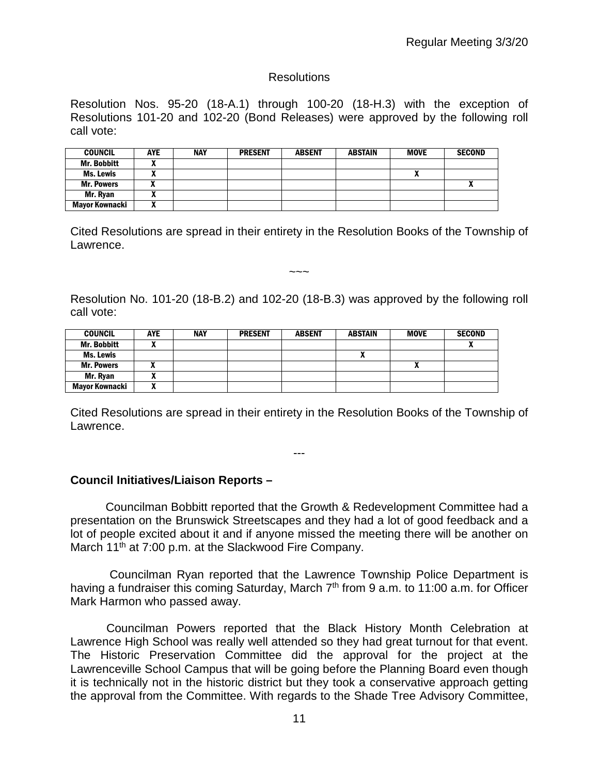## **Resolutions**

Resolution Nos. 95-20 (18-A.1) through 100-20 (18-H.3) with the exception of Resolutions 101-20 and 102-20 (Bond Releases) were approved by the following roll call vote:

| <b>COUNCIL</b>     | <b>AYE</b> | <b>NAY</b> | <b>PRESENT</b> | <b>ABSENT</b> | ABSTAIN | <b>MOVE</b> | <b>SECOND</b> |
|--------------------|------------|------------|----------------|---------------|---------|-------------|---------------|
| <b>Mr. Bobbitt</b> |            |            |                |               |         |             |               |
| Ms. Lewis          |            |            |                |               |         | Λ           |               |
| <b>Mr. Powers</b>  |            |            |                |               |         |             |               |
| Mr. Ryan           |            |            |                |               |         |             |               |
| Mayor Kownacki     | ,,,        |            |                |               |         |             |               |

Cited Resolutions are spread in their entirety in the Resolution Books of the Township of Lawrence.

~~~

Resolution No. 101-20 (18-B.2) and 102-20 (18-B.3) was approved by the following roll call vote:

| <b>COUNCIL</b>     | AYE | <b>NAY</b> | <b>PRESENT</b> | <b>ABSENT</b> | ABSTAIN | <b>MOVE</b> | <b>SECOND</b> |
|--------------------|-----|------------|----------------|---------------|---------|-------------|---------------|
| <b>Mr. Bobbitt</b> |     |            |                |               |         |             | $\mathbf{r}$  |
| Ms. Lewis          |     |            |                |               |         |             |               |
| <b>Mr. Powers</b>  |     |            |                |               |         | "           |               |
| Mr. Ryan           | n   |            |                |               |         |             |               |
| Mayor Kownacki     |     |            |                |               |         |             |               |

Cited Resolutions are spread in their entirety in the Resolution Books of the Township of Lawrence.

---

**Council Initiatives/Liaison Reports –**

Councilman Bobbitt reported that the Growth & Redevelopment Committee had a presentation on the Brunswick Streetscapes and they had a lot of good feedback and a lot of people excited about it and if anyone missed the meeting there will be another on March 11<sup>th</sup> at 7:00 p.m. at the Slackwood Fire Company.

Councilman Ryan reported that the Lawrence Township Police Department is having a fundraiser this coming Saturday, March 7<sup>th</sup> from 9 a.m. to 11:00 a.m. for Officer Mark Harmon who passed away.

 Councilman Powers reported that the Black History Month Celebration at Lawrence High School was really well attended so they had great turnout for that event. The Historic Preservation Committee did the approval for the project at the Lawrenceville School Campus that will be going before the Planning Board even though it is technically not in the historic district but they took a conservative approach getting the approval from the Committee. With regards to the Shade Tree Advisory Committee,